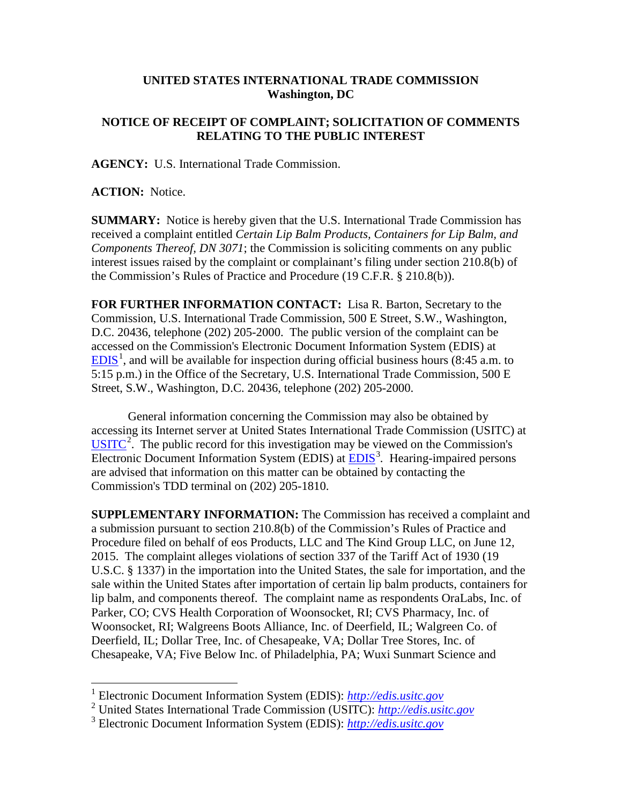## **UNITED STATES INTERNATIONAL TRADE COMMISSION Washington, DC**

## **NOTICE OF RECEIPT OF COMPLAINT; SOLICITATION OF COMMENTS RELATING TO THE PUBLIC INTEREST**

**AGENCY:** U.S. International Trade Commission.

**ACTION:** Notice.

**SUMMARY:** Notice is hereby given that the U.S. International Trade Commission has received a complaint entitled *Certain Lip Balm Products, Containers for Lip Balm, and Components Thereof, DN 3071*; the Commission is soliciting comments on any public interest issues raised by the complaint or complainant's filing under section 210.8(b) of the Commission's Rules of Practice and Procedure (19 C.F.R. § 210.8(b)).

**FOR FURTHER INFORMATION CONTACT:** Lisa R. Barton, Secretary to the Commission, U.S. International Trade Commission, 500 E Street, S.W., Washington, D.C. 20436, telephone (202) 205-2000. The public version of the complaint can be accessed on the Commission's Electronic Document Information System (EDIS) at  $EDIS<sup>1</sup>$  $EDIS<sup>1</sup>$  $EDIS<sup>1</sup>$  $EDIS<sup>1</sup>$ , and will be available for inspection during official business hours (8:45 a.m. to 5:15 p.m.) in the Office of the Secretary, U.S. International Trade Commission, 500 E Street, S.W., Washington, D.C. 20436, telephone (202) 205-2000.

General information concerning the Commission may also be obtained by accessing its Internet server at United States International Trade Commission (USITC) at  $\overline{USTTC}^2$  $\overline{USTTC}^2$ . The public record for this investigation may be viewed on the Commission's Electronic Document Information System (EDIS) at **EDIS**<sup>[3](#page-0-2)</sup>. Hearing-impaired persons are advised that information on this matter can be obtained by contacting the Commission's TDD terminal on (202) 205-1810.

**SUPPLEMENTARY INFORMATION:** The Commission has received a complaint and a submission pursuant to section 210.8(b) of the Commission's Rules of Practice and Procedure filed on behalf of eos Products, LLC and The Kind Group LLC, on June 12, 2015. The complaint alleges violations of section 337 of the Tariff Act of 1930 (19 U.S.C. § 1337) in the importation into the United States, the sale for importation, and the sale within the United States after importation of certain lip balm products, containers for lip balm, and components thereof. The complaint name as respondents OraLabs, Inc. of Parker, CO; CVS Health Corporation of Woonsocket, RI; CVS Pharmacy, Inc. of Woonsocket, RI; Walgreens Boots Alliance, Inc. of Deerfield, IL; Walgreen Co. of Deerfield, IL; Dollar Tree, Inc. of Chesapeake, VA; Dollar Tree Stores, Inc. of Chesapeake, VA; Five Below Inc. of Philadelphia, PA; Wuxi Sunmart Science and

 <sup>1</sup> Electronic Document Information System (EDIS): *[http://edis.usitc.gov](http://edis.usitc.gov/)*

<span id="page-0-1"></span><span id="page-0-0"></span><sup>2</sup> United States International Trade Commission (USITC): *[http://edis.usitc.gov](http://edis.usitc.gov/)*

<span id="page-0-2"></span><sup>3</sup> Electronic Document Information System (EDIS): *[http://edis.usitc.gov](http://edis.usitc.gov/)*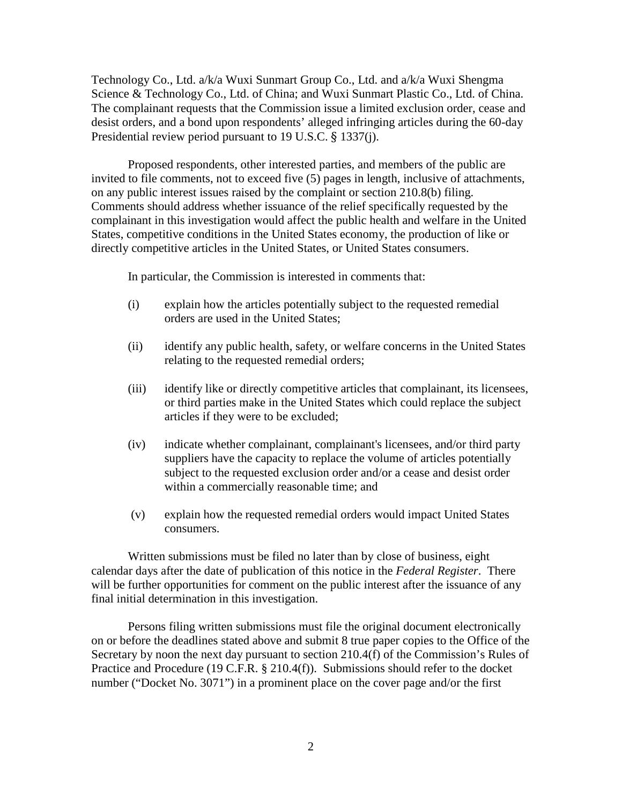Technology Co., Ltd. a/k/a Wuxi Sunmart Group Co., Ltd. and a/k/a Wuxi Shengma Science & Technology Co., Ltd. of China; and Wuxi Sunmart Plastic Co., Ltd. of China. The complainant requests that the Commission issue a limited exclusion order, cease and desist orders, and a bond upon respondents' alleged infringing articles during the 60-day Presidential review period pursuant to 19 U.S.C. § 1337(j).

Proposed respondents, other interested parties, and members of the public are invited to file comments, not to exceed five (5) pages in length, inclusive of attachments, on any public interest issues raised by the complaint or section 210.8(b) filing. Comments should address whether issuance of the relief specifically requested by the complainant in this investigation would affect the public health and welfare in the United States, competitive conditions in the United States economy, the production of like or directly competitive articles in the United States, or United States consumers.

In particular, the Commission is interested in comments that:

- (i) explain how the articles potentially subject to the requested remedial orders are used in the United States;
- (ii) identify any public health, safety, or welfare concerns in the United States relating to the requested remedial orders;
- (iii) identify like or directly competitive articles that complainant, its licensees, or third parties make in the United States which could replace the subject articles if they were to be excluded;
- (iv) indicate whether complainant, complainant's licensees, and/or third party suppliers have the capacity to replace the volume of articles potentially subject to the requested exclusion order and/or a cease and desist order within a commercially reasonable time; and
- (v) explain how the requested remedial orders would impact United States consumers.

Written submissions must be filed no later than by close of business, eight calendar days after the date of publication of this notice in the *Federal Register*. There will be further opportunities for comment on the public interest after the issuance of any final initial determination in this investigation.

Persons filing written submissions must file the original document electronically on or before the deadlines stated above and submit 8 true paper copies to the Office of the Secretary by noon the next day pursuant to section 210.4(f) of the Commission's Rules of Practice and Procedure (19 C.F.R. § 210.4(f)). Submissions should refer to the docket number ("Docket No. 3071") in a prominent place on the cover page and/or the first